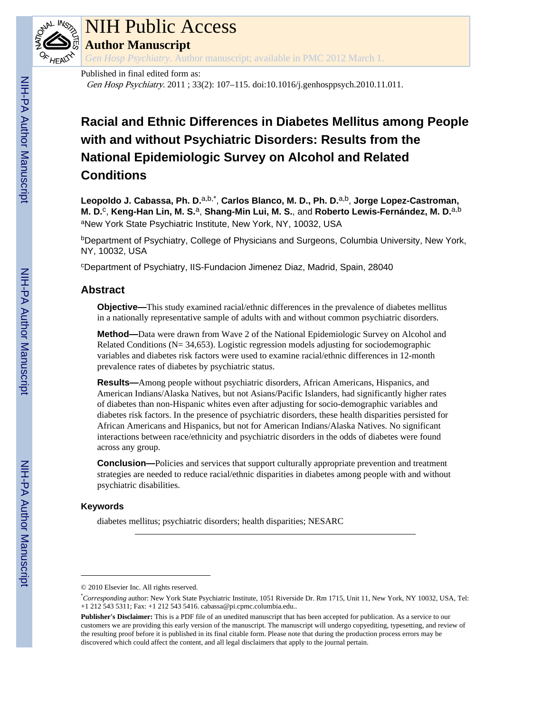

## NIH Public Access

**Author Manuscript**

*Gen Hosp Psychiatry*. Author manuscript; available in PMC 2012 March 1.

#### Published in final edited form as: Gen Hosp Psychiatry. 2011 ; 33(2): 107–115. doi:10.1016/j.genhosppsych.2010.11.011.

### **Racial and Ethnic Differences in Diabetes Mellitus among People with and without Psychiatric Disorders: Results from the National Epidemiologic Survey on Alcohol and Related Conditions**

Leopoldo J. Cabassa, Ph. D.<sup>a,b,\*</sup>, Carlos Blanco, M. D., Ph. D.<sup>a,b</sup>, Jorge Lopez-Castroman, **M. D.**<sup>c</sup> , **Keng-Han Lin, M. S.**a, **Shang-Min Lui, M. S.**, and **Roberto Lewis-Fernández, M. D.**a,b aNew York State Psychiatric Institute, New York, NY, 10032, USA

**bDepartment of Psychiatry, College of Physicians and Surgeons, Columbia University, New York,** NY, 10032, USA

<sup>c</sup>Department of Psychiatry, IIS-Fundacion Jimenez Diaz, Madrid, Spain, 28040

#### **Abstract**

**Objective—**This study examined racial/ethnic differences in the prevalence of diabetes mellitus in a nationally representative sample of adults with and without common psychiatric disorders.

**Method—**Data were drawn from Wave 2 of the National Epidemiologic Survey on Alcohol and Related Conditions (N= 34,653). Logistic regression models adjusting for sociodemographic variables and diabetes risk factors were used to examine racial/ethnic differences in 12-month prevalence rates of diabetes by psychiatric status.

**Results—**Among people without psychiatric disorders, African Americans, Hispanics, and American Indians/Alaska Natives, but not Asians/Pacific Islanders, had significantly higher rates of diabetes than non-Hispanic whites even after adjusting for socio-demographic variables and diabetes risk factors. In the presence of psychiatric disorders, these health disparities persisted for African Americans and Hispanics, but not for American Indians/Alaska Natives. No significant interactions between race/ethnicity and psychiatric disorders in the odds of diabetes were found across any group.

**Conclusion—**Policies and services that support culturally appropriate prevention and treatment strategies are needed to reduce racial/ethnic disparities in diabetes among people with and without psychiatric disabilities.

#### **Keywords**

diabetes mellitus; psychiatric disorders; health disparities; NESARC

<sup>© 2010</sup> Elsevier Inc. All rights reserved.

<sup>\*</sup>*Corresponding* author: New York State Psychiatric Institute, 1051 Riverside Dr. Rm 1715, Unit 11, New York, NY 10032, USA, Tel: +1 212 543 5311; Fax: +1 212 543 5416. cabassa@pi.cpmc.columbia.edu..

**Publisher's Disclaimer:** This is a PDF file of an unedited manuscript that has been accepted for publication. As a service to our customers we are providing this early version of the manuscript. The manuscript will undergo copyediting, typesetting, and review of the resulting proof before it is published in its final citable form. Please note that during the production process errors may be discovered which could affect the content, and all legal disclaimers that apply to the journal pertain.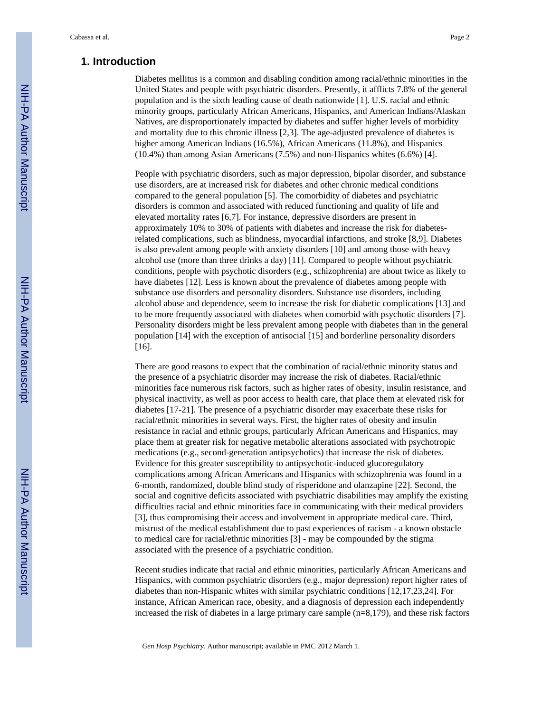#### **1. Introduction**

Diabetes mellitus is a common and disabling condition among racial/ethnic minorities in the United States and people with psychiatric disorders. Presently, it afflicts 7.8% of the general population and is the sixth leading cause of death nationwide [1]. U.S. racial and ethnic minority groups, particularly African Americans, Hispanics, and American Indians/Alaskan Natives, are disproportionately impacted by diabetes and suffer higher levels of morbidity and mortality due to this chronic illness [2,3]. The age-adjusted prevalence of diabetes is higher among American Indians (16.5%), African Americans (11.8%), and Hispanics (10.4%) than among Asian Americans (7.5%) and non-Hispanics whites (6.6%) [4].

People with psychiatric disorders, such as major depression, bipolar disorder, and substance use disorders, are at increased risk for diabetes and other chronic medical conditions compared to the general population [5]. The comorbidity of diabetes and psychiatric disorders is common and associated with reduced functioning and quality of life and elevated mortality rates [6,7]. For instance, depressive disorders are present in approximately 10% to 30% of patients with diabetes and increase the risk for diabetesrelated complications, such as blindness, myocardial infarctions, and stroke [8,9]. Diabetes is also prevalent among people with anxiety disorders [10] and among those with heavy alcohol use (more than three drinks a day) [11]. Compared to people without psychiatric conditions, people with psychotic disorders (e.g., schizophrenia) are about twice as likely to have diabetes [12]. Less is known about the prevalence of diabetes among people with substance use disorders and personality disorders. Substance use disorders, including alcohol abuse and dependence, seem to increase the risk for diabetic complications [13] and to be more frequently associated with diabetes when comorbid with psychotic disorders [7]. Personality disorders might be less prevalent among people with diabetes than in the general population [14] with the exception of antisocial [15] and borderline personality disorders [16].

There are good reasons to expect that the combination of racial/ethnic minority status and the presence of a psychiatric disorder may increase the risk of diabetes. Racial/ethnic minorities face numerous risk factors, such as higher rates of obesity, insulin resistance, and physical inactivity, as well as poor access to health care, that place them at elevated risk for diabetes [17-21]. The presence of a psychiatric disorder may exacerbate these risks for racial/ethnic minorities in several ways. First, the higher rates of obesity and insulin resistance in racial and ethnic groups, particularly African Americans and Hispanics, may place them at greater risk for negative metabolic alterations associated with psychotropic medications (e.g., second-generation antipsychotics) that increase the risk of diabetes. Evidence for this greater susceptibility to antipsychotic-induced glucoregulatory complications among African Americans and Hispanics with schizophrenia was found in a 6-month, randomized, double blind study of risperidone and olanzapine [22]. Second, the social and cognitive deficits associated with psychiatric disabilities may amplify the existing difficulties racial and ethnic minorities face in communicating with their medical providers [3], thus compromising their access and involvement in appropriate medical care. Third, mistrust of the medical establishment due to past experiences of racism - a known obstacle to medical care for racial/ethnic minorities [3] - may be compounded by the stigma associated with the presence of a psychiatric condition.

Recent studies indicate that racial and ethnic minorities, particularly African Americans and Hispanics, with common psychiatric disorders (e.g., major depression) report higher rates of diabetes than non-Hispanic whites with similar psychiatric conditions [12,17,23,24]. For instance, African American race, obesity, and a diagnosis of depression each independently increased the risk of diabetes in a large primary care sample (n=8,179), and these risk factors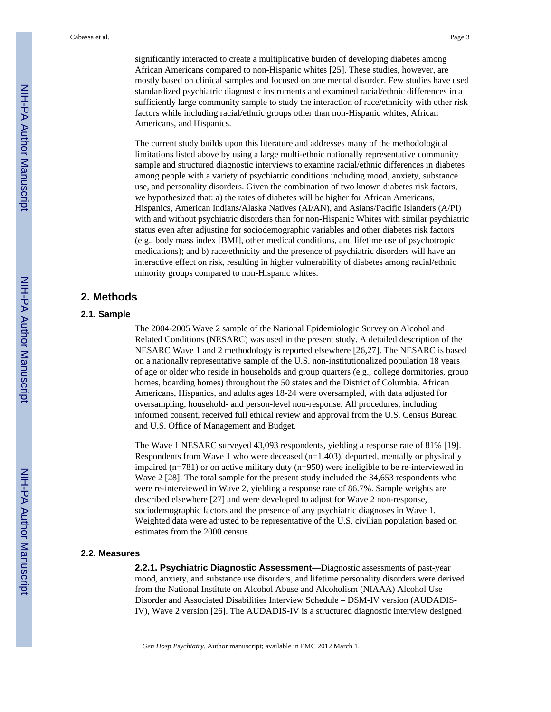significantly interacted to create a multiplicative burden of developing diabetes among African Americans compared to non-Hispanic whites [25]. These studies, however, are mostly based on clinical samples and focused on one mental disorder. Few studies have used standardized psychiatric diagnostic instruments and examined racial/ethnic differences in a sufficiently large community sample to study the interaction of race/ethnicity with other risk factors while including racial/ethnic groups other than non-Hispanic whites, African Americans, and Hispanics.

The current study builds upon this literature and addresses many of the methodological limitations listed above by using a large multi-ethnic nationally representative community sample and structured diagnostic interviews to examine racial/ethnic differences in diabetes among people with a variety of psychiatric conditions including mood, anxiety, substance use, and personality disorders. Given the combination of two known diabetes risk factors, we hypothesized that: a) the rates of diabetes will be higher for African Americans, Hispanics, American Indians/Alaska Natives (AI/AN), and Asians/Pacific Islanders (A/PI) with and without psychiatric disorders than for non-Hispanic Whites with similar psychiatric status even after adjusting for sociodemographic variables and other diabetes risk factors (e.g., body mass index [BMI], other medical conditions, and lifetime use of psychotropic medications); and b) race/ethnicity and the presence of psychiatric disorders will have an interactive effect on risk, resulting in higher vulnerability of diabetes among racial/ethnic minority groups compared to non-Hispanic whites.

#### **2. Methods**

#### **2.1. Sample**

The 2004-2005 Wave 2 sample of the National Epidemiologic Survey on Alcohol and Related Conditions (NESARC) was used in the present study. A detailed description of the NESARC Wave 1 and 2 methodology is reported elsewhere [26,27]. The NESARC is based on a nationally representative sample of the U.S. non-institutionalized population 18 years of age or older who reside in households and group quarters (e.g., college dormitories, group homes, boarding homes) throughout the 50 states and the District of Columbia. African Americans, Hispanics, and adults ages 18-24 were oversampled, with data adjusted for oversampling, household- and person-level non-response. All procedures, including informed consent, received full ethical review and approval from the U.S. Census Bureau and U.S. Office of Management and Budget.

The Wave 1 NESARC surveyed 43,093 respondents, yielding a response rate of 81% [19]. Respondents from Wave 1 who were deceased  $(n=1,403)$ , deported, mentally or physically impaired  $(n=781)$  or on active military duty  $(n=950)$  were ineligible to be re-interviewed in Wave 2 [28]. The total sample for the present study included the 34,653 respondents who were re-interviewed in Wave 2, yielding a response rate of 86.7%. Sample weights are described elsewhere [27] and were developed to adjust for Wave 2 non-response, sociodemographic factors and the presence of any psychiatric diagnoses in Wave 1. Weighted data were adjusted to be representative of the U.S. civilian population based on estimates from the 2000 census.

#### **2.2. Measures**

**2.2.1. Psychiatric Diagnostic Assessment—**Diagnostic assessments of past-year mood, anxiety, and substance use disorders, and lifetime personality disorders were derived from the National Institute on Alcohol Abuse and Alcoholism (NIAAA) Alcohol Use Disorder and Associated Disabilities Interview Schedule – DSM-IV version (AUDADIS-IV), Wave 2 version [26]. The AUDADIS-IV is a structured diagnostic interview designed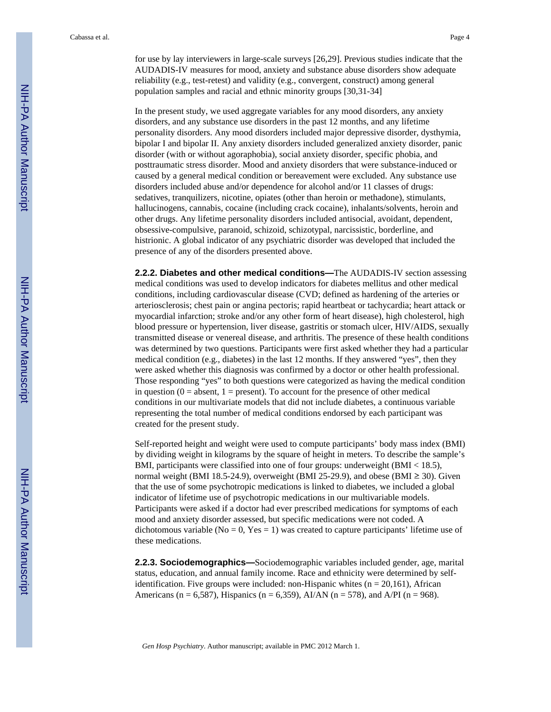for use by lay interviewers in large-scale surveys [26,29]. Previous studies indicate that the AUDADIS-IV measures for mood, anxiety and substance abuse disorders show adequate reliability (e.g., test-retest) and validity (e.g., convergent, construct) among general population samples and racial and ethnic minority groups [30,31-34]

In the present study, we used aggregate variables for any mood disorders, any anxiety disorders, and any substance use disorders in the past 12 months, and any lifetime personality disorders. Any mood disorders included major depressive disorder, dysthymia, bipolar I and bipolar II. Any anxiety disorders included generalized anxiety disorder, panic disorder (with or without agoraphobia), social anxiety disorder, specific phobia, and posttraumatic stress disorder. Mood and anxiety disorders that were substance-induced or caused by a general medical condition or bereavement were excluded. Any substance use disorders included abuse and/or dependence for alcohol and/or 11 classes of drugs: sedatives, tranquilizers, nicotine, opiates (other than heroin or methadone), stimulants, hallucinogens, cannabis, cocaine (including crack cocaine), inhalants/solvents, heroin and other drugs. Any lifetime personality disorders included antisocial, avoidant, dependent, obsessive-compulsive, paranoid, schizoid, schizotypal, narcissistic, borderline, and histrionic. A global indicator of any psychiatric disorder was developed that included the presence of any of the disorders presented above.

**2.2.2. Diabetes and other medical conditions—**The AUDADIS-IV section assessing medical conditions was used to develop indicators for diabetes mellitus and other medical conditions, including cardiovascular disease (CVD; defined as hardening of the arteries or arteriosclerosis; chest pain or angina pectoris; rapid heartbeat or tachycardia; heart attack or myocardial infarction; stroke and/or any other form of heart disease), high cholesterol, high blood pressure or hypertension, liver disease, gastritis or stomach ulcer, HIV/AIDS, sexually transmitted disease or venereal disease, and arthritis. The presence of these health conditions was determined by two questions. Participants were first asked whether they had a particular medical condition (e.g., diabetes) in the last 12 months. If they answered "yes", then they were asked whether this diagnosis was confirmed by a doctor or other health professional. Those responding "yes" to both questions were categorized as having the medical condition in question  $(0 =$  absent,  $1 =$  present). To account for the presence of other medical conditions in our multivariate models that did not include diabetes, a continuous variable representing the total number of medical conditions endorsed by each participant was created for the present study.

Self-reported height and weight were used to compute participants' body mass index (BMI) by dividing weight in kilograms by the square of height in meters. To describe the sample's BMI, participants were classified into one of four groups: underweight (BMI < 18.5), normal weight (BMI 18.5-24.9), overweight (BMI 25-29.9), and obese (BMI  $\geq$  30). Given that the use of some psychotropic medications is linked to diabetes, we included a global indicator of lifetime use of psychotropic medications in our multivariable models. Participants were asked if a doctor had ever prescribed medications for symptoms of each mood and anxiety disorder assessed, but specific medications were not coded. A dichotomous variable ( $No = 0$ ,  $Yes = 1$ ) was created to capture participants' lifetime use of these medications.

**2.2.3. Sociodemographics—**Sociodemographic variables included gender, age, marital status, education, and annual family income. Race and ethnicity were determined by selfidentification. Five groups were included: non-Hispanic whites ( $n = 20,161$ ), African Americans (n = 6,587), Hispanics (n = 6,359), AI/AN (n = 578), and A/PI (n = 968).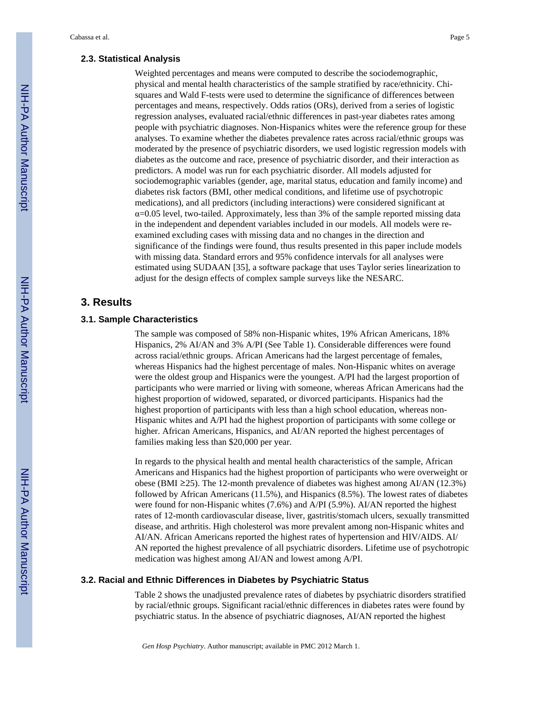#### **2.3. Statistical Analysis**

Weighted percentages and means were computed to describe the sociodemographic, physical and mental health characteristics of the sample stratified by race/ethnicity. Chisquares and Wald F-tests were used to determine the significance of differences between percentages and means, respectively. Odds ratios (ORs), derived from a series of logistic regression analyses, evaluated racial/ethnic differences in past-year diabetes rates among people with psychiatric diagnoses. Non-Hispanics whites were the reference group for these analyses. To examine whether the diabetes prevalence rates across racial/ethnic groups was moderated by the presence of psychiatric disorders, we used logistic regression models with diabetes as the outcome and race, presence of psychiatric disorder, and their interaction as predictors. A model was run for each psychiatric disorder. All models adjusted for sociodemographic variables (gender, age, marital status, education and family income) and diabetes risk factors (BMI, other medical conditions, and lifetime use of psychotropic medications), and all predictors (including interactions) were considered significant at  $\alpha$ =0.05 level, two-tailed. Approximately, less than 3% of the sample reported missing data in the independent and dependent variables included in our models. All models were reexamined excluding cases with missing data and no changes in the direction and significance of the findings were found, thus results presented in this paper include models with missing data. Standard errors and 95% confidence intervals for all analyses were estimated using SUDAAN [35], a software package that uses Taylor series linearization to adjust for the design effects of complex sample surveys like the NESARC.

#### **3. Results**

#### **3.1. Sample Characteristics**

The sample was composed of 58% non-Hispanic whites, 19% African Americans, 18% Hispanics, 2% AI/AN and 3% A/PI (See Table 1). Considerable differences were found across racial/ethnic groups. African Americans had the largest percentage of females, whereas Hispanics had the highest percentage of males. Non-Hispanic whites on average were the oldest group and Hispanics were the youngest. A/PI had the largest proportion of participants who were married or living with someone, whereas African Americans had the highest proportion of widowed, separated, or divorced participants. Hispanics had the highest proportion of participants with less than a high school education, whereas non-Hispanic whites and A/PI had the highest proportion of participants with some college or higher. African Americans, Hispanics, and AI/AN reported the highest percentages of families making less than \$20,000 per year.

In regards to the physical health and mental health characteristics of the sample, African Americans and Hispanics had the highest proportion of participants who were overweight or obese (BMI ≥25). The 12-month prevalence of diabetes was highest among AI/AN (12.3%) followed by African Americans (11.5%), and Hispanics (8.5%). The lowest rates of diabetes were found for non-Hispanic whites (7.6%) and A/PI (5.9%). AI/AN reported the highest rates of 12-month cardiovascular disease, liver, gastritis/stomach ulcers, sexually transmitted disease, and arthritis. High cholesterol was more prevalent among non-Hispanic whites and AI/AN. African Americans reported the highest rates of hypertension and HIV/AIDS. AI/ AN reported the highest prevalence of all psychiatric disorders. Lifetime use of psychotropic medication was highest among AI/AN and lowest among A/PI.

#### **3.2. Racial and Ethnic Differences in Diabetes by Psychiatric Status**

Table 2 shows the unadjusted prevalence rates of diabetes by psychiatric disorders stratified by racial/ethnic groups. Significant racial/ethnic differences in diabetes rates were found by psychiatric status. In the absence of psychiatric diagnoses, AI/AN reported the highest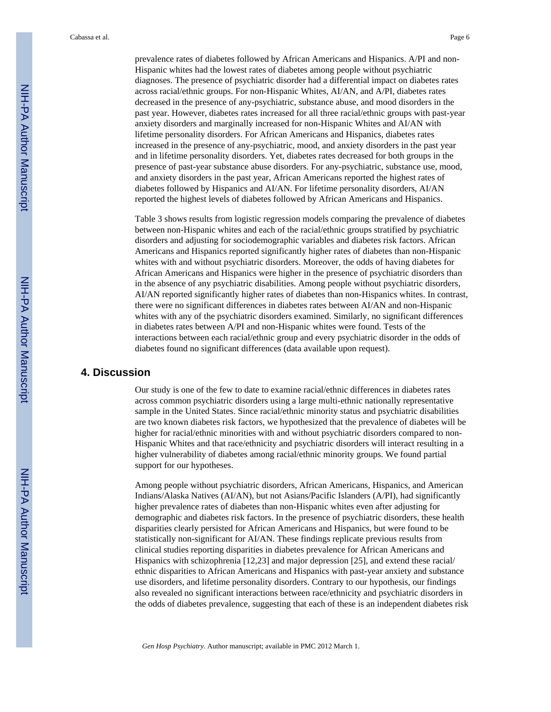prevalence rates of diabetes followed by African Americans and Hispanics. A/PI and non-Hispanic whites had the lowest rates of diabetes among people without psychiatric diagnoses. The presence of psychiatric disorder had a differential impact on diabetes rates across racial/ethnic groups. For non-Hispanic Whites, AI/AN, and A/PI, diabetes rates decreased in the presence of any-psychiatric, substance abuse, and mood disorders in the past year. However, diabetes rates increased for all three racial/ethnic groups with past-year anxiety disorders and marginally increased for non-Hispanic Whites and AI/AN with lifetime personality disorders. For African Americans and Hispanics, diabetes rates increased in the presence of any-psychiatric, mood, and anxiety disorders in the past year and in lifetime personality disorders. Yet, diabetes rates decreased for both groups in the presence of past-year substance abuse disorders. For any-psychiatric, substance use, mood, and anxiety disorders in the past year, African Americans reported the highest rates of diabetes followed by Hispanics and AI/AN. For lifetime personality disorders, AI/AN reported the highest levels of diabetes followed by African Americans and Hispanics.

Table 3 shows results from logistic regression models comparing the prevalence of diabetes between non-Hispanic whites and each of the racial/ethnic groups stratified by psychiatric disorders and adjusting for sociodemographic variables and diabetes risk factors. African Americans and Hispanics reported significantly higher rates of diabetes than non-Hispanic whites with and without psychiatric disorders. Moreover, the odds of having diabetes for African Americans and Hispanics were higher in the presence of psychiatric disorders than in the absence of any psychiatric disabilities. Among people without psychiatric disorders, AI/AN reported significantly higher rates of diabetes than non-Hispanics whites. In contrast, there were no significant differences in diabetes rates between AI/AN and non-Hispanic whites with any of the psychiatric disorders examined. Similarly, no significant differences in diabetes rates between A/PI and non-Hispanic whites were found. Tests of the interactions between each racial/ethnic group and every psychiatric disorder in the odds of diabetes found no significant differences (data available upon request).

#### **4. Discussion**

Our study is one of the few to date to examine racial/ethnic differences in diabetes rates across common psychiatric disorders using a large multi-ethnic nationally representative sample in the United States. Since racial/ethnic minority status and psychiatric disabilities are two known diabetes risk factors, we hypothesized that the prevalence of diabetes will be higher for racial/ethnic minorities with and without psychiatric disorders compared to non-Hispanic Whites and that race/ethnicity and psychiatric disorders will interact resulting in a higher vulnerability of diabetes among racial/ethnic minority groups. We found partial support for our hypotheses.

Among people without psychiatric disorders, African Americans, Hispanics, and American Indians/Alaska Natives (AI/AN), but not Asians/Pacific Islanders (A/PI), had significantly higher prevalence rates of diabetes than non-Hispanic whites even after adjusting for demographic and diabetes risk factors. In the presence of psychiatric disorders, these health disparities clearly persisted for African Americans and Hispanics, but were found to be statistically non-significant for AI/AN. These findings replicate previous results from clinical studies reporting disparities in diabetes prevalence for African Americans and Hispanics with schizophrenia [12,23] and major depression [25], and extend these racial/ ethnic disparities to African Americans and Hispanics with past-year anxiety and substance use disorders, and lifetime personality disorders. Contrary to our hypothesis, our findings also revealed no significant interactions between race/ethnicity and psychiatric disorders in the odds of diabetes prevalence, suggesting that each of these is an independent diabetes risk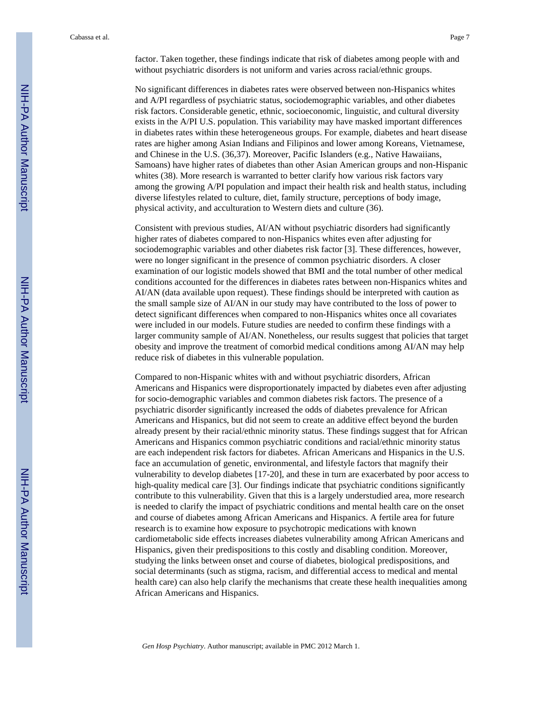factor. Taken together, these findings indicate that risk of diabetes among people with and without psychiatric disorders is not uniform and varies across racial/ethnic groups.

No significant differences in diabetes rates were observed between non-Hispanics whites and A/PI regardless of psychiatric status, sociodemographic variables, and other diabetes risk factors. Considerable genetic, ethnic, socioeconomic, linguistic, and cultural diversity exists in the A/PI U.S. population. This variability may have masked important differences in diabetes rates within these heterogeneous groups. For example, diabetes and heart disease rates are higher among Asian Indians and Filipinos and lower among Koreans, Vietnamese, and Chinese in the U.S. (36,37). Moreover, Pacific Islanders (e.g., Native Hawaiians, Samoans) have higher rates of diabetes than other Asian American groups and non-Hispanic whites (38). More research is warranted to better clarify how various risk factors vary among the growing A/PI population and impact their health risk and health status, including diverse lifestyles related to culture, diet, family structure, perceptions of body image, physical activity, and acculturation to Western diets and culture (36).

Consistent with previous studies, AI/AN without psychiatric disorders had significantly higher rates of diabetes compared to non-Hispanics whites even after adjusting for sociodemographic variables and other diabetes risk factor [3]. These differences, however, were no longer significant in the presence of common psychiatric disorders. A closer examination of our logistic models showed that BMI and the total number of other medical conditions accounted for the differences in diabetes rates between non-Hispanics whites and AI/AN (data available upon request). These findings should be interpreted with caution as the small sample size of AI/AN in our study may have contributed to the loss of power to detect significant differences when compared to non-Hispanics whites once all covariates were included in our models. Future studies are needed to confirm these findings with a larger community sample of AI/AN. Nonetheless, our results suggest that policies that target obesity and improve the treatment of comorbid medical conditions among AI/AN may help reduce risk of diabetes in this vulnerable population.

Compared to non-Hispanic whites with and without psychiatric disorders, African Americans and Hispanics were disproportionately impacted by diabetes even after adjusting for socio-demographic variables and common diabetes risk factors. The presence of a psychiatric disorder significantly increased the odds of diabetes prevalence for African Americans and Hispanics, but did not seem to create an additive effect beyond the burden already present by their racial/ethnic minority status. These findings suggest that for African Americans and Hispanics common psychiatric conditions and racial/ethnic minority status are each independent risk factors for diabetes. African Americans and Hispanics in the U.S. face an accumulation of genetic, environmental, and lifestyle factors that magnify their vulnerability to develop diabetes [17-20], and these in turn are exacerbated by poor access to high-quality medical care [3]. Our findings indicate that psychiatric conditions significantly contribute to this vulnerability. Given that this is a largely understudied area, more research is needed to clarify the impact of psychiatric conditions and mental health care on the onset and course of diabetes among African Americans and Hispanics. A fertile area for future research is to examine how exposure to psychotropic medications with known cardiometabolic side effects increases diabetes vulnerability among African Americans and Hispanics, given their predispositions to this costly and disabling condition. Moreover, studying the links between onset and course of diabetes, biological predispositions, and social determinants (such as stigma, racism, and differential access to medical and mental health care) can also help clarify the mechanisms that create these health inequalities among African Americans and Hispanics.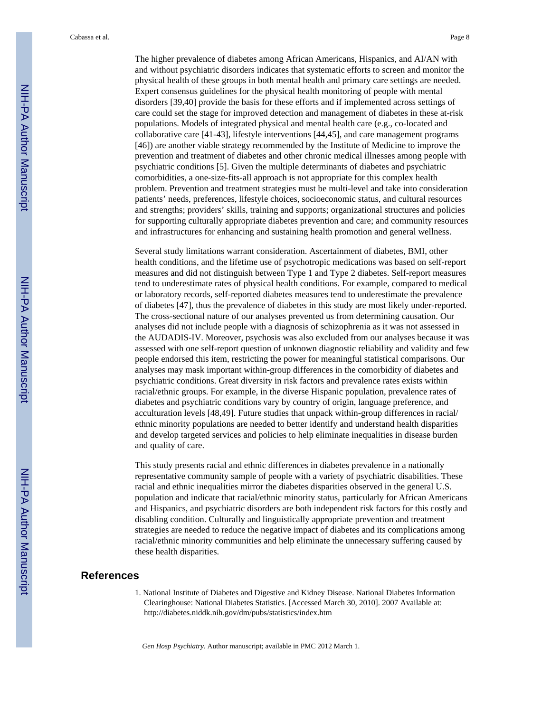The higher prevalence of diabetes among African Americans, Hispanics, and AI/AN with and without psychiatric disorders indicates that systematic efforts to screen and monitor the physical health of these groups in both mental health and primary care settings are needed. Expert consensus guidelines for the physical health monitoring of people with mental disorders [39,40] provide the basis for these efforts and if implemented across settings of care could set the stage for improved detection and management of diabetes in these at-risk populations. Models of integrated physical and mental health care (e.g., co-located and collaborative care [41-43], lifestyle interventions [44,45], and care management programs [46]) are another viable strategy recommended by the Institute of Medicine to improve the prevention and treatment of diabetes and other chronic medical illnesses among people with psychiatric conditions [5]. Given the multiple determinants of diabetes and psychiatric comorbidities, a one-size-fits-all approach is not appropriate for this complex health problem. Prevention and treatment strategies must be multi-level and take into consideration patients' needs, preferences, lifestyle choices, socioeconomic status, and cultural resources and strengths; providers' skills, training and supports; organizational structures and policies for supporting culturally appropriate diabetes prevention and care; and community resources and infrastructures for enhancing and sustaining health promotion and general wellness.

Several study limitations warrant consideration. Ascertainment of diabetes, BMI, other health conditions, and the lifetime use of psychotropic medications was based on self-report measures and did not distinguish between Type 1 and Type 2 diabetes. Self-report measures tend to underestimate rates of physical health conditions. For example, compared to medical or laboratory records, self-reported diabetes measures tend to underestimate the prevalence of diabetes [47], thus the prevalence of diabetes in this study are most likely under-reported. The cross-sectional nature of our analyses prevented us from determining causation. Our analyses did not include people with a diagnosis of schizophrenia as it was not assessed in the AUDADIS-IV. Moreover, psychosis was also excluded from our analyses because it was assessed with one self-report question of unknown diagnostic reliability and validity and few people endorsed this item, restricting the power for meaningful statistical comparisons. Our analyses may mask important within-group differences in the comorbidity of diabetes and psychiatric conditions. Great diversity in risk factors and prevalence rates exists within racial/ethnic groups. For example, in the diverse Hispanic population, prevalence rates of diabetes and psychiatric conditions vary by country of origin, language preference, and acculturation levels [48,49]. Future studies that unpack within-group differences in racial/ ethnic minority populations are needed to better identify and understand health disparities and develop targeted services and policies to help eliminate inequalities in disease burden and quality of care.

This study presents racial and ethnic differences in diabetes prevalence in a nationally representative community sample of people with a variety of psychiatric disabilities. These racial and ethnic inequalities mirror the diabetes disparities observed in the general U.S. population and indicate that racial/ethnic minority status, particularly for African Americans and Hispanics, and psychiatric disorders are both independent risk factors for this costly and disabling condition. Culturally and linguistically appropriate prevention and treatment strategies are needed to reduce the negative impact of diabetes and its complications among racial/ethnic minority communities and help eliminate the unnecessary suffering caused by these health disparities.

#### **References**

1. National Institute of Diabetes and Digestive and Kidney Disease. National Diabetes Information Clearinghouse: National Diabetes Statistics. [Accessed March 30, 2010]. 2007 Available at: <http://diabetes.niddk.nih.gov/dm/pubs/statistics/index.htm>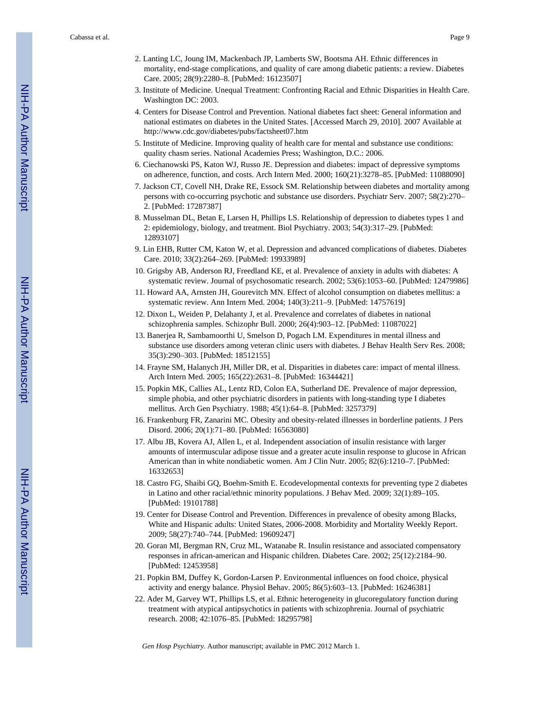- 2. Lanting LC, Joung IM, Mackenbach JP, Lamberts SW, Bootsma AH. Ethnic differences in mortality, end-stage complications, and quality of care among diabetic patients: a review. Diabetes Care. 2005; 28(9):2280–8. [PubMed: 16123507]
- 3. Institute of Medicine. Unequal Treatment: Confronting Racial and Ethnic Disparities in Health Care. Washington DC: 2003.
- 4. Centers for Disease Control and Prevention. National diabetes fact sheet: General information and national estimates on diabetes in the United States. [Accessed March 29, 2010]. 2007 Available at <http://www.cdc.gov/diabetes/pubs/factsheet07.htm>
- 5. Institute of Medicine. Improving quality of health care for mental and substance use conditions: quality chasm series. National Academies Press; Washington, D.C.: 2006.
- 6. Ciechanowski PS, Katon WJ, Russo JE. Depression and diabetes: impact of depressive symptoms on adherence, function, and costs. Arch Intern Med. 2000; 160(21):3278–85. [PubMed: 11088090]
- 7. Jackson CT, Covell NH, Drake RE, Essock SM. Relationship between diabetes and mortality among persons with co-occurring psychotic and substance use disorders. Psychiatr Serv. 2007; 58(2):270– 2. [PubMed: 17287387]
- 8. Musselman DL, Betan E, Larsen H, Phillips LS. Relationship of depression to diabetes types 1 and 2: epidemiology, biology, and treatment. Biol Psychiatry. 2003; 54(3):317–29. [PubMed: 12893107]
- 9. Lin EHB, Rutter CM, Katon W, et al. Depression and advanced complications of diabetes. Diabetes Care. 2010; 33(2):264–269. [PubMed: 19933989]
- 10. Grigsby AB, Anderson RJ, Freedland KE, et al. Prevalence of anxiety in adults with diabetes: A systematic review. Journal of psychosomatic research. 2002; 53(6):1053–60. [PubMed: 12479986]
- 11. Howard AA, Arnsten JH, Gourevitch MN. Effect of alcohol consumption on diabetes mellitus: a systematic review. Ann Intern Med. 2004; 140(3):211–9. [PubMed: 14757619]
- 12. Dixon L, Weiden P, Delahanty J, et al. Prevalence and correlates of diabetes in national schizophrenia samples. Schizophr Bull. 2000; 26(4):903–12. [PubMed: 11087022]
- 13. Banerjea R, Sambamoorthi U, Smelson D, Pogach LM. Expenditures in mental illness and substance use disorders among veteran clinic users with diabetes. J Behav Health Serv Res. 2008; 35(3):290–303. [PubMed: 18512155]
- 14. Frayne SM, Halanych JH, Miller DR, et al. Disparities in diabetes care: impact of mental illness. Arch Intern Med. 2005; 165(22):2631–8. [PubMed: 16344421]
- 15. Popkin MK, Callies AL, Lentz RD, Colon EA, Sutherland DE. Prevalence of major depression, simple phobia, and other psychiatric disorders in patients with long-standing type I diabetes mellitus. Arch Gen Psychiatry. 1988; 45(1):64–8. [PubMed: 3257379]
- 16. Frankenburg FR, Zanarini MC. Obesity and obesity-related illnesses in borderline patients. J Pers Disord. 2006; 20(1):71–80. [PubMed: 16563080]
- 17. Albu JB, Kovera AJ, Allen L, et al. Independent association of insulin resistance with larger amounts of intermuscular adipose tissue and a greater acute insulin response to glucose in African American than in white nondiabetic women. Am J Clin Nutr. 2005; 82(6):1210–7. [PubMed: 16332653]
- 18. Castro FG, Shaibi GQ, Boehm-Smith E. Ecodevelopmental contexts for preventing type 2 diabetes in Latino and other racial/ethnic minority populations. J Behav Med. 2009; 32(1):89–105. [PubMed: 19101788]
- 19. Center for Disease Control and Prevention. Differences in prevalence of obesity among Blacks, White and Hispanic adults: United States, 2006-2008. Morbidity and Mortality Weekly Report. 2009; 58(27):740–744. [PubMed: 19609247]
- 20. Goran MI, Bergman RN, Cruz ML, Watanabe R. Insulin resistance and associated compensatory responses in african-american and Hispanic children. Diabetes Care. 2002; 25(12):2184–90. [PubMed: 12453958]
- 21. Popkin BM, Duffey K, Gordon-Larsen P. Environmental influences on food choice, physical activity and energy balance. Physiol Behav. 2005; 86(5):603–13. [PubMed: 16246381]
- 22. Ader M, Garvey WT, Phillips LS, et al. Ethnic heterogeneity in glucoregulatory function during treatment with atypical antipsychotics in patients with schizophrenia. Journal of psychiatric research. 2008; 42:1076–85. [PubMed: 18295798]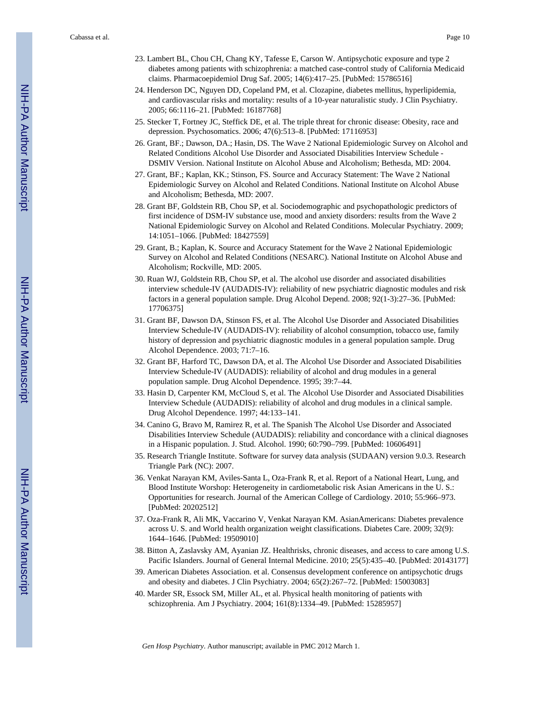- 23. Lambert BL, Chou CH, Chang KY, Tafesse E, Carson W. Antipsychotic exposure and type 2 diabetes among patients with schizophrenia: a matched case-control study of California Medicaid claims. Pharmacoepidemiol Drug Saf. 2005; 14(6):417–25. [PubMed: 15786516]
- 24. Henderson DC, Nguyen DD, Copeland PM, et al. Clozapine, diabetes mellitus, hyperlipidemia, and cardiovascular risks and mortality: results of a 10-year naturalistic study. J Clin Psychiatry. 2005; 66:1116–21. [PubMed: 16187768]
- 25. Stecker T, Fortney JC, Steffick DE, et al. The triple threat for chronic disease: Obesity, race and depression. Psychosomatics. 2006; 47(6):513–8. [PubMed: 17116953]
- 26. Grant, BF.; Dawson, DA.; Hasin, DS. The Wave 2 National Epidemiologic Survey on Alcohol and Related Conditions Alcohol Use Disorder and Associated Disabilities Interview Schedule - DSMIV Version. National Institute on Alcohol Abuse and Alcoholism; Bethesda, MD: 2004.
- 27. Grant, BF.; Kaplan, KK.; Stinson, FS. Source and Accuracy Statement: The Wave 2 National Epidemiologic Survey on Alcohol and Related Conditions. National Institute on Alcohol Abuse and Alcoholism; Bethesda, MD: 2007.
- 28. Grant BF, Goldstein RB, Chou SP, et al. Sociodemographic and psychopathologic predictors of first incidence of DSM-IV substance use, mood and anxiety disorders: results from the Wave 2 National Epidemiologic Survey on Alcohol and Related Conditions. Molecular Psychiatry. 2009; 14:1051–1066. [PubMed: 18427559]
- 29. Grant, B.; Kaplan, K. Source and Accuracy Statement for the Wave 2 National Epidemiologic Survey on Alcohol and Related Conditions (NESARC). National Institute on Alcohol Abuse and Alcoholism; Rockville, MD: 2005.
- 30. Ruan WJ, Goldstein RB, Chou SP, et al. The alcohol use disorder and associated disabilities interview schedule-IV (AUDADIS-IV): reliability of new psychiatric diagnostic modules and risk factors in a general population sample. Drug Alcohol Depend. 2008; 92(1-3):27–36. [PubMed: 17706375]
- 31. Grant BF, Dawson DA, Stinson FS, et al. The Alcohol Use Disorder and Associated Disabilities Interview Schedule-IV (AUDADIS-IV): reliability of alcohol consumption, tobacco use, family history of depression and psychiatric diagnostic modules in a general population sample. Drug Alcohol Dependence. 2003; 71:7–16.
- 32. Grant BF, Harford TC, Dawson DA, et al. The Alcohol Use Disorder and Associated Disabilities Interview Schedule-IV (AUDADIS): reliability of alcohol and drug modules in a general population sample. Drug Alcohol Dependence. 1995; 39:7–44.
- 33. Hasin D, Carpenter KM, McCloud S, et al. The Alcohol Use Disorder and Associated Disabilities Interview Schedule (AUDADIS): reliability of alcohol and drug modules in a clinical sample. Drug Alcohol Dependence. 1997; 44:133–141.
- 34. Canino G, Bravo M, Ramirez R, et al. The Spanish The Alcohol Use Disorder and Associated Disabilities Interview Schedule (AUDADIS): reliability and concordance with a clinical diagnoses in a Hispanic population. J. Stud. Alcohol. 1990; 60:790–799. [PubMed: 10606491]
- 35. Research Triangle Institute. Software for survey data analysis (SUDAAN) version 9.0.3. Research Triangle Park (NC): 2007.
- 36. Venkat Narayan KM, Aviles-Santa L, Oza-Frank R, et al. Report of a National Heart, Lung, and Blood Institute Worshop: Heterogeneity in cardiometabolic risk Asian Americans in the U. S.: Opportunities for research. Journal of the American College of Cardiology. 2010; 55:966–973. [PubMed: 20202512]
- 37. Oza-Frank R, Ali MK, Vaccarino V, Venkat Narayan KM. AsianAmericans: Diabetes prevalence across U. S. and World health organization weight classifications. Diabetes Care. 2009; 32(9): 1644–1646. [PubMed: 19509010]
- 38. Bitton A, Zaslavsky AM, Ayanian JZ. Healthrisks, chronic diseases, and access to care among U.S. Pacific Islanders. Journal of General Internal Medicine. 2010; 25(5):435–40. [PubMed: 20143177]
- 39. American Diabetes Association. et al. Consensus development conference on antipsychotic drugs and obesity and diabetes. J Clin Psychiatry. 2004; 65(2):267–72. [PubMed: 15003083]
- 40. Marder SR, Essock SM, Miller AL, et al. Physical health monitoring of patients with schizophrenia. Am J Psychiatry. 2004; 161(8):1334–49. [PubMed: 15285957]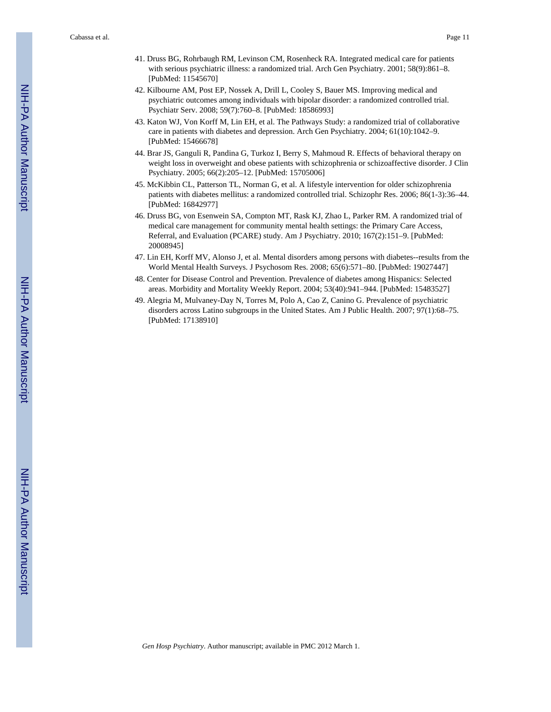- 41. Druss BG, Rohrbaugh RM, Levinson CM, Rosenheck RA. Integrated medical care for patients with serious psychiatric illness: a randomized trial. Arch Gen Psychiatry. 2001; 58(9):861–8. [PubMed: 11545670]
- 42. Kilbourne AM, Post EP, Nossek A, Drill L, Cooley S, Bauer MS. Improving medical and psychiatric outcomes among individuals with bipolar disorder: a randomized controlled trial. Psychiatr Serv. 2008; 59(7):760–8. [PubMed: 18586993]
- 43. Katon WJ, Von Korff M, Lin EH, et al. The Pathways Study: a randomized trial of collaborative care in patients with diabetes and depression. Arch Gen Psychiatry. 2004; 61(10):1042–9. [PubMed: 15466678]
- 44. Brar JS, Ganguli R, Pandina G, Turkoz I, Berry S, Mahmoud R. Effects of behavioral therapy on weight loss in overweight and obese patients with schizophrenia or schizoaffective disorder. J Clin Psychiatry. 2005; 66(2):205–12. [PubMed: 15705006]
- 45. McKibbin CL, Patterson TL, Norman G, et al. A lifestyle intervention for older schizophrenia patients with diabetes mellitus: a randomized controlled trial. Schizophr Res. 2006; 86(1-3):36–44. [PubMed: 16842977]
- 46. Druss BG, von Esenwein SA, Compton MT, Rask KJ, Zhao L, Parker RM. A randomized trial of medical care management for community mental health settings: the Primary Care Access, Referral, and Evaluation (PCARE) study. Am J Psychiatry. 2010; 167(2):151–9. [PubMed: 20008945]
- 47. Lin EH, Korff MV, Alonso J, et al. Mental disorders among persons with diabetes--results from the World Mental Health Surveys. J Psychosom Res. 2008; 65(6):571–80. [PubMed: 19027447]
- 48. Center for Disease Control and Prevention. Prevalence of diabetes among Hispanics: Selected areas. Morbidity and Mortality Weekly Report. 2004; 53(40):941–944. [PubMed: 15483527]
- 49. Alegria M, Mulvaney-Day N, Torres M, Polo A, Cao Z, Canino G. Prevalence of psychiatric disorders across Latino subgroups in the United States. Am J Public Health. 2007; 97(1):68–75. [PubMed: 17138910]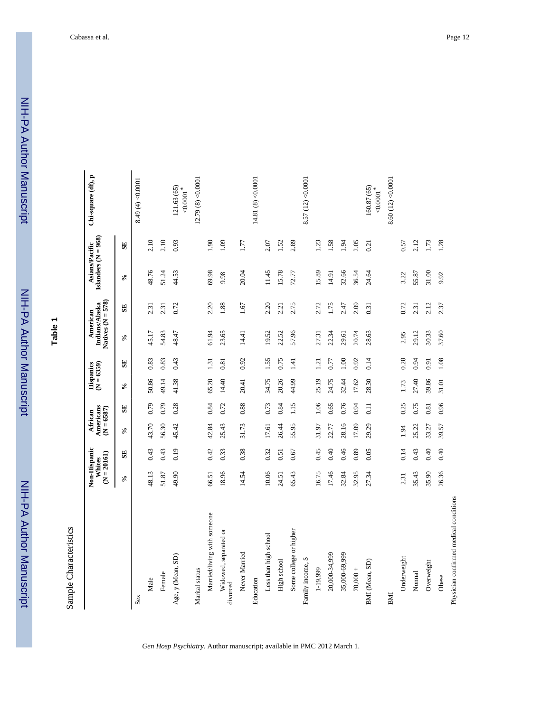NIH-PA Author ManuscriptNIH-PA Author Manuscript

NIH-PA Author Manuscript

NIH-PA Author Manuscript

**Table 1**

Sample Characteristics Sample Characteristics

 $\overline{\phantom{a}}$ 

|                                        | Non-Hispanic<br>$(N = 20161)$<br>Whites |                         | Americans<br>$(N = 6587)$<br>African |                   | Hispanics<br>$(N = 6359)$ |              | Natives $(N = 578)$<br>Indians/Alaska<br>American |              | Islanders ( $N = 968$ )<br>Asians/Pacific |              | Chi-square (df), p                |
|----------------------------------------|-----------------------------------------|-------------------------|--------------------------------------|-------------------|---------------------------|--------------|---------------------------------------------------|--------------|-------------------------------------------|--------------|-----------------------------------|
|                                        | $\mathcal{S}_{\bullet}$                 | $\overline{\mathbf{S}}$ | $\mathcal{S}_{\mathbf{0}}$           | $\mathbf{S}$      | న                         | $\mathbf{S}$ | ళ                                                 | $\mathbf{S}$ | $\mathcal{S}_{\bullet}$                   | $\mathbf{S}$ |                                   |
| Sex                                    |                                         |                         |                                      |                   |                           |              |                                                   |              |                                           |              | 8.49 (4) < 0.0001                 |
| Male                                   | 48.13                                   | 0.43                    | 43.70                                | 0.79              | 50.86                     | 0.83         | 45.17                                             | 2.31         | 48.76                                     | 2.10         |                                   |
| Female                                 | 51.87                                   | 0.43                    | 56.30                                | 0.79              | 49.14                     | 0.83         | 54.83                                             | 2.31         | 51.24                                     | 2.10         |                                   |
| Age, y (Mean, SD)                      | 49.90                                   | 0.19                    | 45.42                                | 0.28              | 41.38                     | 0.43         | 48.47                                             | 0.72         | 44.53                                     | 0.93         | 121.63 (65)<br>${<}0.0001$ $^{*}$ |
| Marital status                         |                                         |                         |                                      |                   |                           |              |                                                   |              |                                           |              | 12.79 $(8) < 0.0001$              |
| Married/living with someone            | 66.51                                   | 0.42                    | 42.84                                | 0.84              | 65.20                     | 1.31         | 61.94                                             | 2.20         | 69.98                                     | 1.90         |                                   |
| Widowed, separated or<br>divorced      | 18.96                                   | 0.33                    | 25.43                                | 0.72              | 14.40                     | 0.81         | 23.65                                             | 1.88         | 9.98                                      | 1.09         |                                   |
| Never Married                          | 14.54                                   | 0.38                    | 31.73                                | 0.88              | 20.41                     | 0.92         | 14.41                                             | 1.67         | 20.04                                     | 1.77         |                                   |
| Education                              |                                         |                         |                                      |                   |                           |              |                                                   |              |                                           |              | 14.81 (8) $<$ 0.0001              |
| Less than high school                  | 10.06                                   | 0.32                    | 17.61                                | 0.73              | 34.75                     | 1.55         | 19.52                                             | 2.20         | 11.45                                     | 2.07         |                                   |
| High school                            | 24.51                                   | 0.51                    | 26.44                                | 0.84              | 20.26                     | 0.75         | 22.52                                             | 2.21         | 15.78                                     | 1.52         |                                   |
| Some college or higher                 | 65.43                                   | 0.67                    | 55.95                                | 1.15              | 44.99                     | 1.41         | 57.96                                             | 2.75         | 72.77                                     | 2.89         |                                   |
| Family income, \$                      |                                         |                         |                                      |                   |                           |              |                                                   |              |                                           |              | 8.57 (12) < 0.0001                |
| 1-19,999                               | 16.75                                   | 0.45                    | 31.97                                | 1.06              | 25.19                     | 1.21         | 27.31                                             | 2.72         | 15.89                                     | 1.23         |                                   |
| 20,000-34,999                          | 17.46                                   | 0.40                    | 22.77                                | 0.65              | 24.75                     | 0.77         | 22.34                                             | 1.75         | 14.91                                     | 1.58         |                                   |
| 35,000-69,999                          | 32.84                                   | 0.46                    | 28.16                                | 0.76              | 32.44                     | 1.00         | 29.61                                             | 2.47         | 32.66                                     | 1.94         |                                   |
| $70,000 +$                             | 32.95                                   | 0.89                    | 17.09                                | 0.94              | 17.62                     | 0.92         | 20.74                                             | 2.09         | 36.54                                     | 2.05         |                                   |
| BMI (Mean, SD)                         | 27.34                                   | 0.05                    | 29.29                                | $\overline{0.11}$ | 28.30                     | 0.14         | 28.63                                             | 0.31         | 24.64                                     | 0.21         | 160.87 (65)<br>0.0001             |
| BMI                                    |                                         |                         |                                      |                   |                           |              |                                                   |              |                                           |              | 8.60(12) < 0.0001                 |
| Underweight                            | 2.31                                    | 0.14                    | 1.94                                 | 0.25              | 1.73                      | 0.28         | 2.95                                              | 0.72         | 3.22                                      | 0.57         |                                   |
| Normal                                 | 35.43                                   | 0.43                    | 25.22                                | 0.75              | 27.40                     | 0.94         | 29.12                                             | 2.31         | 55.87                                     | 2.12         |                                   |
| Overweight                             | 35.90                                   | 0.40                    | 33.27                                | 0.81              | 39.86                     | 0.91         | 30.33                                             | 2.12         | 31.00                                     | 1.73         |                                   |
| Obese                                  | 26.36                                   | 0.40                    | 39.57                                | 0.96              | 31.01                     | 1.08         | 37.60                                             | 2.37         | 9.92                                      | 1.28         |                                   |
| Physician confirmed medical conditions |                                         |                         |                                      |                   |                           |              |                                                   |              |                                           |              |                                   |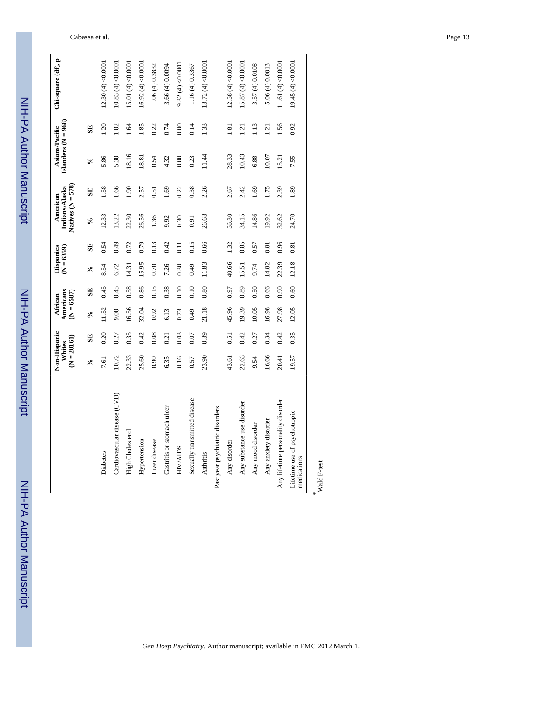| <u>:</u><br>:     |
|-------------------|
|                   |
|                   |
|                   |
|                   |
|                   |
|                   |
|                   |
|                   |
|                   |
|                   |
|                   |
|                   |
| i                 |
|                   |
|                   |
| j                 |
|                   |
|                   |
|                   |
|                   |
|                   |
|                   |
|                   |
|                   |
|                   |
|                   |
|                   |
|                   |
|                   |
| <b>S<br/>2011</b> |
|                   |
|                   |
|                   |
|                   |
|                   |

 NIH-PA Author ManuscriptNIH-PA Author Manuscript

|                                             | Non-Hispanic<br>$(N = 20161)$<br>Whites |      | Americans<br>$(N = 6587)$<br>African |      | Hispanics<br>$(N = 6359)$  |      | Natives $(N = 578)$<br>Indians/Alaska<br>American |           | Islanders $(N = 968)$<br>Asians/Pacific |      | Chi-square (df), p   |
|---------------------------------------------|-----------------------------------------|------|--------------------------------------|------|----------------------------|------|---------------------------------------------------|-----------|-----------------------------------------|------|----------------------|
|                                             | ℅                                       | SE   | $\mathcal{S}^{\bullet}$              | SE   | $\mathcal{S}_{\mathbf{0}}$ | SE   | $\mathcal{S}^{\bullet}$                           | SE        | $\mathcal{S}_{\bullet}$                 | SE   |                      |
| Diabetes                                    | 7.61                                    | 0.20 | 11.52                                | 0.45 | 8.54                       | 0.54 | 12.33                                             | 1.58      | 5.86                                    | 1.20 | 12.30(4) < 0.0001    |
| Cardiovascular disease (CVD)                | 10.72                                   | 0.27 | 00.6                                 | 0.45 | 6.72                       | 0.49 | 13.22                                             | 1.66      | 5.30                                    | 1.02 | 10.83(4) < 0.0001    |
| High Cholesterol                            | 22.33                                   | 0.35 | 16.56                                | 0.58 | 14.31                      | 0.72 | 22.30                                             | $06^{11}$ | 18.16                                   | 1.64 | 15.01 $(4) < 0.0001$ |
| Hypertension                                | 25.60                                   | 0.42 | 32.04                                | 0.86 | 15.95                      | 0.79 | 26.56                                             | 2.57      | 18.81                                   | 1.85 | 16.92(4) < 0.0001    |
| Liver disease                               | 0.90                                    | 0.08 | 0.92                                 | 0.15 | 0.70                       | 0.13 | 1.36                                              | 0.51      | 0.54                                    | 0.22 | 1.06(4)0.3832        |
| Gastritis or stomach ulcer                  | 6.35                                    | 0.21 | 6.13                                 | 0.38 | 7.26                       | 0.42 | 9.92                                              | 0.169     | 4.32                                    | 0.74 | 3.66 (4) 0.0094      |
| <b>HIV/AIDS</b>                             | 0.16                                    | 0.03 | 0.73                                 | 0.10 | 0.30                       | 0.11 | 0.30                                              | 0.22      | 0.00                                    | 0.00 | 9.32(4)<0.0001       |
| Sexually transmitted disease                | 0.57                                    | 0.07 | 0.49                                 | 0.10 | 0.49                       | 0.15 | 0.91                                              | 0.38      | 0.23                                    | 0.14 | 1.16(4)0.3367        |
| <b>Arthritis</b>                            | 23.90                                   | 0.39 | 21.18                                | 0.80 | 11.83                      | 0.66 | 26.63                                             | 2.26      | 11.44                                   | 1.33 | 13.72(4) < 0.0001    |
| Past year psychiatric disorders             |                                         |      |                                      |      |                            |      |                                                   |           |                                         |      |                      |
| Any disorder                                | 43.61                                   | 0.51 | 45.96                                | 0.97 | 40.66                      | 1.32 | 56.30                                             | 2.67      | 28.33                                   | 1.81 | 12.58(4)<0.0001      |
| Any substance use disorder                  | 22.63                                   | 0.42 | 19.39                                | 0.89 | 15.51                      | 0.85 | 34.15                                             | 2.42      | 10.43                                   | 121  | 15.87(4) < 0.0001    |
| Any mood disorder                           | 9.54                                    | 0.27 | 10.05                                | 0.50 | 9.74                       | 0.57 | 14.86                                             | 1.69      | 6.88                                    | 113  | 3.57 (4) 0.0108      |
| Any anxiety disorder                        | 16.66                                   | 0.34 | 16.98                                | 0.66 | 14.82                      | 0.81 | 19.92                                             | 1.75      | 10.07                                   | 1.21 | 5.06(4)0.0013        |
| Any lifetime personality disorder           | 20.41                                   | 0.42 | 27.98                                | 0.90 | 22.39                      | 0.96 | 32.62                                             | 2.39      | 15.21                                   | 1.56 | 11.61 $(4) < 0.0001$ |
| Lifetime use of psychotropic<br>medications | 19.57                                   | 0.35 | 12.05                                | 0.60 | 12.18                      | 0.81 | 24.70                                             | 1.89      | 7.55                                    | 0.92 | 19.45(4) < 0.0001    |
|                                             |                                         |      |                                      |      |                            |      |                                                   |           |                                         |      |                      |

*\** Wald F-test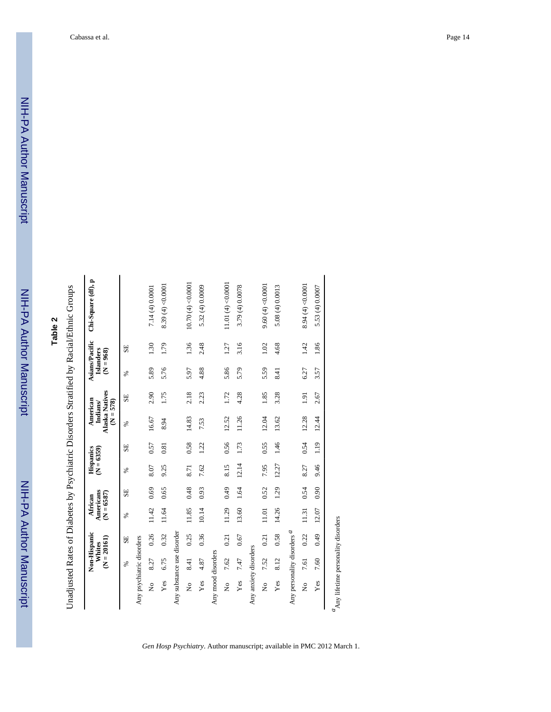NIH-PA Author Manuscript

NIH-PA Author Manuscript

# **Table 2**

Unadjusted Rates of Diabetes by Psychiatric Disorders Stratified by Racial/Ethnic Groups Unadjusted Rates of Diabetes by Psychiatric Disorders Stratified by Racial/Ethnic Groups

|                                        | $(N = 20161)$ | Non-Hispanic<br>Whites | Americans<br>$(N = 6587)$<br>African |      | $(N = 6359)$<br>Hispanics |               | <b>Alaska Natives</b><br>American<br>$(N = 578)$<br>Indians/ |                  | $(N = 968)$ | Asians/Pacific<br><b>Islanders</b> | Chi-Square (df), p   |
|----------------------------------------|---------------|------------------------|--------------------------------------|------|---------------------------|---------------|--------------------------------------------------------------|------------------|-------------|------------------------------------|----------------------|
|                                        | S,            | SE                     | ℅                                    | SE   | S,                        | SE            | S,                                                           | SE               | ℅           | SE                                 |                      |
| Any psychiatric disorders              |               |                        |                                      |      |                           |               |                                                              |                  |             |                                    |                      |
| ż                                      | 8.27          | 0.26                   | 11.42                                | 0.69 | 8.07                      | 0.57          | 16.67                                                        | 2.90             | 5.89        | 1.30                               | 7.14 (4) 0.0001      |
| Yes                                    | 6.75          | 0.32                   | 11.64                                | 0.65 | 9.25                      | 0.81          | 8.94                                                         | 1.75             | 5.76        | 1.79                               | 8.39 (4) < 0.0001    |
| Any substance use disorder             |               |                        |                                      |      |                           |               |                                                              |                  |             |                                    |                      |
| $\tilde{z}$                            | 8.41          | 0.25                   | 11.85                                | 0.48 | 8.71                      | 0.58          | 14.83                                                        | 2.18             | 5.97        | 1.36                               | 10.70(4) < 0.0001    |
| Yes                                    | 4.87          | 0.36                   | 10.14                                | 0.93 | 7.62                      | 1.22          | 7.53                                                         | 2.23             | 4.88        | 2.48                               | 5.32 (4) 0.0009      |
| Any mood disorders                     |               |                        |                                      |      |                           |               |                                                              |                  |             |                                    |                      |
| ż                                      | 7.62          | 0.21                   | 11.29                                | 0.49 | 8.15                      | 0.56          | 12.52                                                        | 1.72             | 5.86        | 1.27                               | 11.01 (4) < $0.0001$ |
| Yes                                    | 7.47          | 0.67                   | 13.60                                | 1.64 | 12.14                     | 1.73          | 11.26                                                        | 4.28             | 5.79        | 3.16                               | 3.79 (4) 0.0078      |
| Any anxiety disorders                  |               |                        |                                      |      |                           |               |                                                              |                  |             |                                    |                      |
| $\frac{1}{2}$                          | 7.52          | 0.21                   | 11.01                                | 0.52 | 7.95                      | 0.55          | 12.04                                                        | 1.85             | 5.59        | 1.02                               | 9.60(4) < 0.0001     |
| Yes                                    | 8.12          | 0.58                   | 14.26                                | 1.29 | 12.27                     | 1.46          | 13.62                                                        | 3.28             | 8.41        | 4.68                               | 5.08(4)0.0013        |
| Any personality disorders <sup>a</sup> |               |                        |                                      |      |                           |               |                                                              |                  |             |                                    |                      |
| $\frac{1}{2}$                          | 7.61          | 0.22                   | 11.31                                | 0.54 | 8.27                      | 0.54          | 12.28                                                        | $\overline{191}$ | 6.27        | 1.42                               | 8.94 (4) < 0.0001    |
| Yes                                    | 7.60          | 0.49                   | 12.07                                | 0.90 | 9.46                      | $\frac{1}{2}$ | 12.44                                                        | 2.67             | 3.57        | 1.86                               | 5.53 (4) 0.0007      |
| $a$ Any lifetime personality disorders |               |                        |                                      |      |                           |               |                                                              |                  |             |                                    |                      |